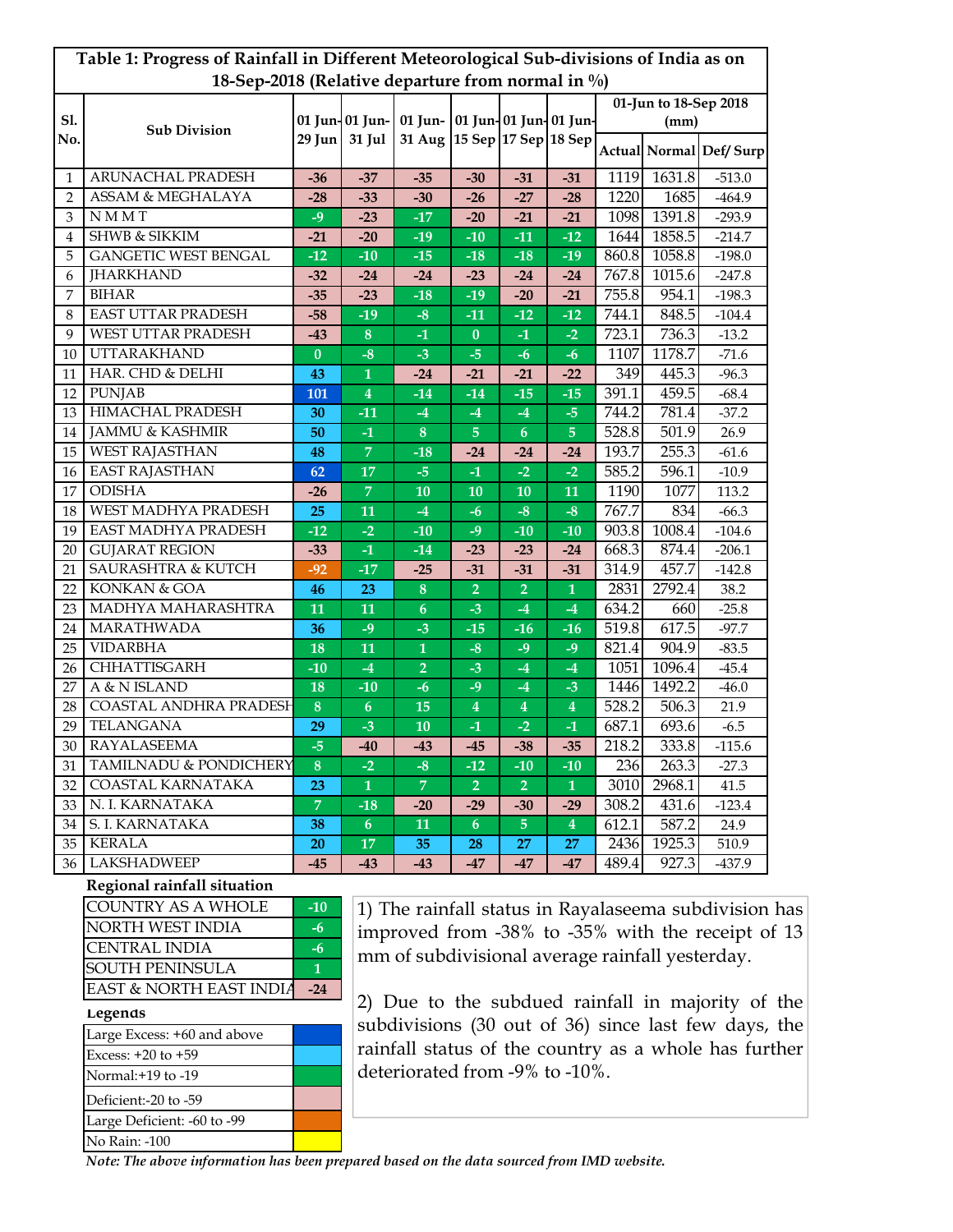| Table 1: Progress of Rainfall in Different Meteorological Sub-divisions of India as on |                               |                |                           |                          |                |                                                 |                         |                       |        |                        |  |
|----------------------------------------------------------------------------------------|-------------------------------|----------------|---------------------------|--------------------------|----------------|-------------------------------------------------|-------------------------|-----------------------|--------|------------------------|--|
| 18-Sep-2018 (Relative departure from normal in %)                                      |                               |                |                           |                          |                |                                                 |                         |                       |        |                        |  |
|                                                                                        | <b>Sub Division</b>           |                | 01 Jun- 01 Jun-<br>31 Jul | 01 Jun-<br><b>31 Aug</b> |                | 01 Jun- 01 Jun- 01 Jun-<br>15 Sep 17 Sep 18 Sep |                         | 01-Jun to 18-Sep 2018 |        |                        |  |
| <b>S1.</b><br>No.                                                                      |                               |                |                           |                          |                |                                                 |                         | (mm)                  |        |                        |  |
|                                                                                        |                               | 29 Jun         |                           |                          |                |                                                 |                         |                       |        | Actual Normal Def/Surp |  |
| $\mathbf{1}$                                                                           | ARUNACHAL PRADESH             | -36            | $-37$                     | $-35$                    | $-30$          | $-31$                                           | $-31$                   | 1119                  | 1631.8 | $-513.0$               |  |
| $\overline{2}$                                                                         | ASSAM & MEGHALAYA             | $-28$          | $-33$                     | $-30$                    | $-26$          | $-27$                                           | $-28$                   | 1220                  | 1685   | $-464.9$               |  |
| 3                                                                                      | <b>NMMT</b>                   | $-9$           | $-23$                     | $-17$                    | $-20$          | $-21$                                           | $-21$                   | 1098                  | 1391.8 | $-293.9$               |  |
| 4                                                                                      | <b>SHWB &amp; SIKKIM</b>      | $-21$          | $-20$                     | $-19$                    | $-10$          | $-11$                                           | $-12$                   | 1644                  | 1858.5 | $-214.7$               |  |
| 5                                                                                      | <b>GANGETIC WEST BENGAL</b>   | $-12$          | $-10$                     | $-15$                    | $-18$          | $-18$                                           | $-19$                   | 860.8                 | 1058.8 | $-198.0$               |  |
| 6                                                                                      | <b>JHARKHAND</b>              | $-32$          | $-24$                     | $-24$                    | $-23$          | $-24$                                           | $-24$                   | 767.8                 | 1015.6 | $-247.8$               |  |
| 7                                                                                      | <b>BIHAR</b>                  | $-35$          | $-23$                     | $-18$                    | $-19$          | $-20$                                           | $-21$                   | 755.8                 | 954.1  | $-198.3$               |  |
| 8                                                                                      | <b>EAST UTTAR PRADESH</b>     | $-58$          | $-19$                     | $-8$                     | $-11$          | $-12$                                           | $-12$                   | 744.1                 | 848.5  | $-104.4$               |  |
| 9                                                                                      | <b>WEST UTTAR PRADESH</b>     | -43            | $\bf 8$                   | $-1$                     | $\bf{0}$       | -1                                              | $-2$                    | 723.1                 | 736.3  | $-13.2$                |  |
| 10                                                                                     | <b>UTTARAKHAND</b>            | $\bf{0}$       | $-8$                      | $-3$                     | $-5$           | $-6$                                            | -6                      | 1107                  | 1178.7 | $-71.6$                |  |
| 11                                                                                     | HAR. CHD & DELHI              | 43             | 1                         | -24                      | $-21$          | $-21$                                           | -22                     | 349                   | 445.3  | $-96.3$                |  |
| 12                                                                                     | <b>PUNJAB</b>                 | 101            | $\overline{4}$            | $-14$                    | $-14$          | $-15$                                           | $-15$                   | 391.1                 | 459.5  | $-68.4$                |  |
| 13                                                                                     | <b>HIMACHAL PRADESH</b>       | 30             | $-11$                     | $-4$                     | $-4$           | $-4$                                            | $-5$                    | 744.2                 | 781.4  | $-37.2$                |  |
| 14                                                                                     | <b>JAMMU &amp; KASHMIR</b>    | 50             | $-1$                      | $\boldsymbol{8}$         | $\overline{5}$ | $\boldsymbol{6}$                                | 5                       | 528.8                 | 501.9  | 26.9                   |  |
| 15                                                                                     | <b>WEST RAJASTHAN</b>         | 48             | $\overline{7}$            | $-18$                    | -24            | -24                                             | -24                     | 193.7                 | 255.3  | $-61.6$                |  |
| 16                                                                                     | <b>EAST RAJASTHAN</b>         | 62             | 17                        | $-5$                     | $-1$           | $-2$                                            | $-2$                    | 585.2                 | 596.1  | $-10.9$                |  |
| 17                                                                                     | <b>ODISHA</b>                 | -26            | $\overline{7}$            | 10                       | 10             | 10                                              | 11                      | 1190                  | 1077   | 113.2                  |  |
| 18                                                                                     | <b>WEST MADHYA PRADESH</b>    | 25             | 11                        | $-4$                     | -6             | $-8$                                            | $-8$                    | 767.7                 | 834    | $-66.3$                |  |
| 19                                                                                     | EAST MADHYA PRADESH           | $-12$          | $-2$                      | $-10$                    | -9             | $-10$                                           | -10                     | 903.8                 | 1008.4 | $-104.6$               |  |
| 20                                                                                     | <b>GUJARAT REGION</b>         | -33            | $-1$                      | $-14$                    | $-23$          | $-23$                                           | $-24$                   | 668.3                 | 874.4  | $-206.1$               |  |
| 21                                                                                     | <b>SAURASHTRA &amp; KUTCH</b> | $-92$          | $-17$                     | $-25$                    | $-31$          | $-31$                                           | $-31$                   | 314.9                 | 457.7  | $-142.8$               |  |
| 22                                                                                     | KONKAN & GOA                  | 46             | 23                        | $\bf 8$                  | $\overline{2}$ | $\overline{2}$                                  | $\mathbf{1}$            | 2831                  | 2792.4 | 38.2                   |  |
| 23                                                                                     | MADHYA MAHARASHTRA            | 11             | 11                        | $\boldsymbol{6}$         | $-3$           | $-4$                                            | $-4$                    | 634.2                 | 660    | $-25.8$                |  |
| 24                                                                                     | MARATHWADA                    | 36             | $-9$                      | $-3$                     | $-15$          | $-16$                                           | $-16$                   | 519.8                 | 617.5  | $-97.7$                |  |
| 25                                                                                     | <b>VIDARBHA</b>               | 18             | 11                        | $\mathbf{1}$             | $-8$           | $-9$                                            | $-9$                    | 821.4                 | 904.9  | $-83.5$                |  |
| 26                                                                                     | <b>CHHATTISGARH</b>           | $-10$          | $-4$                      | $\overline{2}$           | $-3$           | $-4$                                            | $-4$                    | 1051                  | 1096.4 | $-45.4$                |  |
| 27                                                                                     | A & N ISLAND                  | 18             | $-10$                     | $-6$                     | $-9$           | $-4$                                            | $-3$                    | 1446                  | 1492.2 | $-46.0$                |  |
| 28                                                                                     | COASTAL ANDHRA PRADESH        | $\bf 8$        | 6                         | 15                       | 4              | 4                                               | 4                       | 528.2                 | 506.3  | 21.9                   |  |
| 29                                                                                     | TELANGANA                     | 29             | $-3$                      | 10                       | $-1$           | $-2$                                            | -1                      | 687.1                 | 693.6  | $-6.5$                 |  |
| 30                                                                                     | <b>RAYALASEEMA</b>            | $-5$           | -40                       | -43                      | -45            | -38                                             | -35                     | 218.2                 | 333.8  | $-115.6$               |  |
| 31                                                                                     | TAMILNADU & PONDICHERY        | 8              | $-2$                      | $-8$                     | $-12$          | $-10$                                           | $-10$                   | 236                   | 263.3  | $-27.3$                |  |
| 32                                                                                     | <b>COASTAL KARNATAKA</b>      | 23             | $\mathbf{1}$              | $\overline{7}$           | $\overline{2}$ | $\overline{2}$                                  | $\mathbf{1}$            | 3010                  | 2968.1 | 41.5                   |  |
| 33                                                                                     | N. I. KARNATAKA               | $\overline{7}$ | $-18$                     | $-20$                    | $-29$          | $-30$                                           | $-29$                   | 308.2                 | 431.6  | $-123.4$               |  |
| 34                                                                                     | S. I. KARNATAKA               | 38             | 6 <sup>1</sup>            | 11                       | 6              | $\overline{5}$                                  | $\overline{\mathbf{4}}$ | 612.1                 | 587.2  | 24.9                   |  |
| 35                                                                                     | <b>KERALA</b>                 | <b>20</b>      | 17                        | 35                       | 28             | 27                                              | 27                      | 2436                  | 1925.3 | 510.9                  |  |
| 36                                                                                     | <b>LAKSHADWEEP</b>            | $-45$          | $-43$                     | -43                      | $-47$          | $-47$                                           | -47                     | 489.4                 | 927.3  | $-437.9$               |  |

## **Regional rainfall situation**

| <b>COUNTRY AS A WHOLE</b> | $-10$ |
|---------------------------|-------|
| NORTH WEST INDIA          | -h    |
| <b>CENTRAL INDIA</b>      | -6    |
| <b>SOUTH PENINSULA</b>    |       |
| EAST & NORTH EAST INDIA   | -24   |

**Legends**

| Large Excess: +60 and above |  |
|-----------------------------|--|
| Excess: $+20$ to $+59$      |  |
| Normal: +19 to -19          |  |
| Deficient:-20 to -59        |  |
| Large Deficient: -60 to -99 |  |
| No Rain: -100               |  |

1) The rainfall status in Rayalaseema subdivision has improved from -38% to -35% with the receipt of 13 mm of subdivisional average rainfall yesterday.

2) Due to the subdued rainfall in majority of the subdivisions (30 out of 36) since last few days, the rainfall status of the country as a whole has further deteriorated from -9% to -10%.

*Note: The above information has been prepared based on the data sourced from IMD website.*